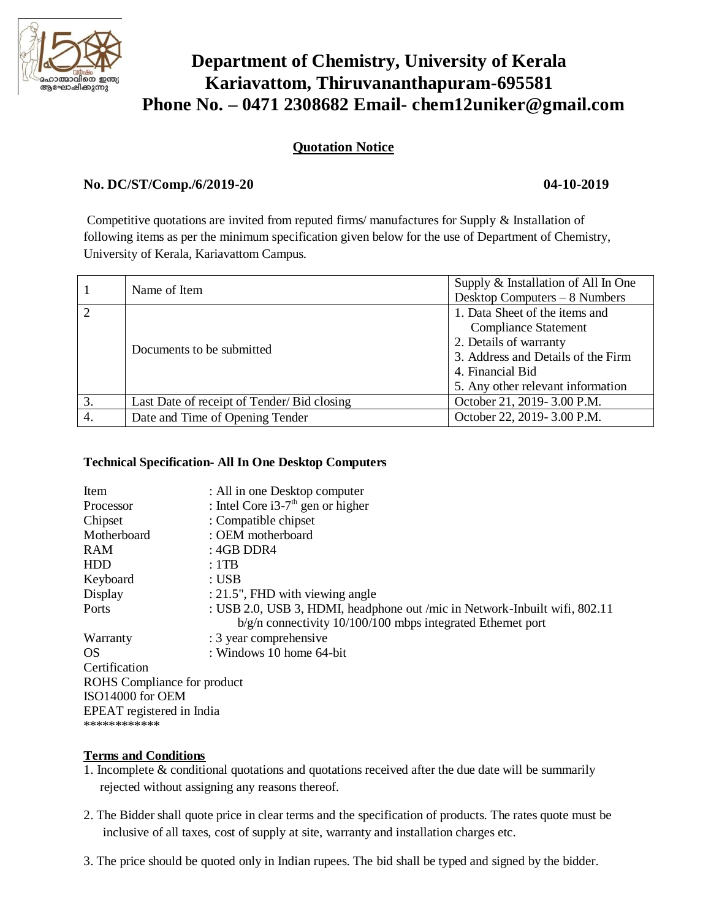

# **Department of Chemistry, University of Kerala Kariavattom, Thiruvananthapuram-695581 Phone No. – 0471 2308682 Email- chem12uniker@gmail.com**

## **Quotation Notice**

### **No. DC/ST/Comp./6/2019-20 04-10-2019**

Competitive quotations are invited from reputed firms/ manufactures for Supply & Installation of following items as per the minimum specification given below for the use of Department of Chemistry, University of Kerala, Kariavattom Campus.

|    | Name of Item                               | Supply & Installation of All In One<br>Desktop Computers $-8$ Numbers |
|----|--------------------------------------------|-----------------------------------------------------------------------|
|    | Documents to be submitted                  | 1. Data Sheet of the items and                                        |
|    |                                            | <b>Compliance Statement</b>                                           |
|    |                                            | 2. Details of warranty                                                |
|    |                                            | 3. Address and Details of the Firm                                    |
|    |                                            | 4. Financial Bid                                                      |
|    |                                            | 5. Any other relevant information                                     |
| 3. | Last Date of receipt of Tender/Bid closing | October 21, 2019-3.00 P.M.                                            |
| 4. | Date and Time of Opening Tender            | October 22, 2019-3.00 P.M.                                            |

### **Technical Specification- All In One Desktop Computers**

| Item                        | : All in one Desktop computer                                                                                                               |  |  |
|-----------------------------|---------------------------------------------------------------------------------------------------------------------------------------------|--|--|
| Processor                   | : Intel Core i3-7 <sup>th</sup> gen or higher                                                                                               |  |  |
| Chipset                     | : Compatible chipset                                                                                                                        |  |  |
| Motherboard                 | : OEM motherboard                                                                                                                           |  |  |
| <b>RAM</b>                  | : $4GB$ DDR4                                                                                                                                |  |  |
| HDD                         | : 1TB                                                                                                                                       |  |  |
| Keyboard                    | : USB                                                                                                                                       |  |  |
| Display                     | : 21.5", FHD with viewing angle                                                                                                             |  |  |
| Ports                       | : USB 2.0, USB 3, HDMI, headphone out /mic in Network-Inbuilt wifi, 802.11<br>$b/g/n$ connectivity 10/100/100 mbps integrated Ethernet port |  |  |
| Warranty                    | : 3 year comprehensive                                                                                                                      |  |  |
| OS.                         | : Windows 10 home 64-bit                                                                                                                    |  |  |
| Certification               |                                                                                                                                             |  |  |
| ROHS Compliance for product |                                                                                                                                             |  |  |
| ISO14000 for OEM            |                                                                                                                                             |  |  |
| EPEAT registered in India   |                                                                                                                                             |  |  |
| ************                |                                                                                                                                             |  |  |

### **Terms and Conditions**

- 1. Incomplete & conditional quotations and quotations received after the due date will be summarily rejected without assigning any reasons thereof.
- 2. The Bidder shall quote price in clear terms and the specification of products. The rates quote must be inclusive of all taxes, cost of supply at site, warranty and installation charges etc.
- 3. The price should be quoted only in Indian rupees. The bid shall be typed and signed by the bidder.